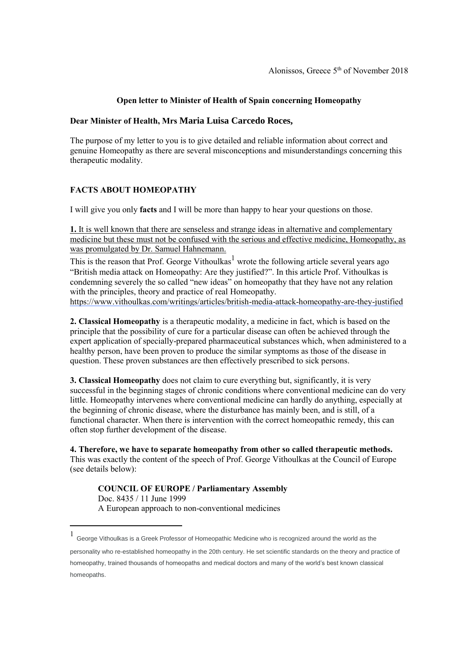### **Open letter to Minister of Health of Spain concerning Homeopathy**

#### **Dear Minister of Health, Mrs Maria Luisa Carcedo Roces,**

The purpose of my letter to you is to give detailed and reliable information about correct and genuine Homeopathy as there are several misconceptions and misunderstandings concerning this therapeutic modality.

# **FACTS ABOUT HOMEOPATHY**

I will give you only **facts** and I will be more than happy to hear your questions on those.

**1.** It is well known that there are senseless and strange ideas in alternative and complementary medicine but these must not be confused with the serious and effective medicine, Homeopathy, as was promulgated by Dr. Samuel Hahnemann.

This is the reason that Prof. George Vithoulkas<sup>1</sup> wrote the following article several years ago "British media attack on Homeopathy: Are they justified?". In this article Prof. Vithoulkas is condemning severely the so called "new ideas" on homeopathy that they have not any relation with the principles, theory and practice of real Homeopathy. <https://www.vithoulkas.com/writings/articles/british-media-attack-homeopathy-are-they-justified>

**2. Classical Homeopathy** is a therapeutic modality, a medicine in fact, which is based on the principle that the possibility of cure for a particular disease can often be achieved through the expert application of specially-prepared pharmaceutical substances which, when administered to a healthy person, have been proven to produce the similar symptoms as those of the disease in question. These proven substances are then effectively prescribed to sick persons.

**3. Classical Homeopathy** does not claim to cure everything but, significantly, it is very successful in the beginning stages of chronic conditions where conventional medicine can do very little. Homeopathy intervenes where conventional medicine can hardly do anything, especially at the beginning of chronic disease, where the disturbance has mainly been, and is still, of a functional character. When there is intervention with the correct homeopathic remedy, this can often stop further development of the disease.

**4. Therefore, we have to separate homeopathy from other so called therapeutic methods.** This was exactly the content of the speech of Prof. George Vithoulkas at the Council of Europe (see details below):

**COUNCIL OF EUROPE / Parliamentary Assembly** Doc. 8435 / 11 June 1999 A European approach to non-conventional medicines

 $\overline{a}$ 

personality who re-established homeopathy in the 20th century. He set scientific standards on the theory and practice of homeopathy, trained thousands of homeopaths and medical doctors and many of the world's best known classical homeopaths.

<sup>1</sup> George Vithoulkas is a Greek Professor of Homeopathic Medicine who is recognized around the world as the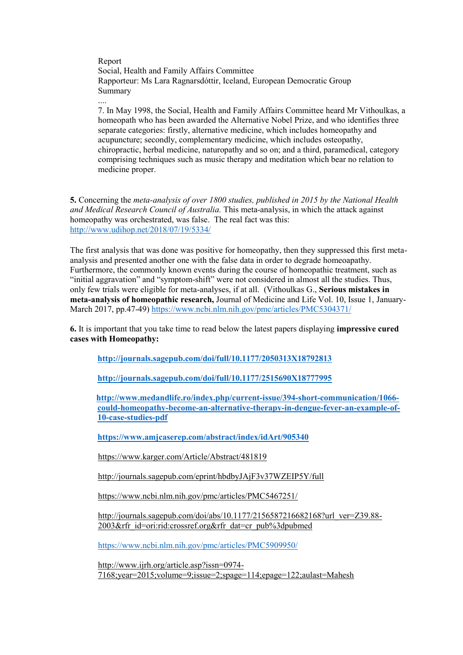Report Social, Health and Family Affairs Committee Rapporteur: Ms Lara Ragnarsdóttir, Iceland, European Democratic Group Summary

....

7. In May 1998, the Social, Health and Family Affairs Committee heard Mr Vithoulkas, a homeopath who has been awarded the Alternative Nobel Prize, and who identifies three separate categories: firstly, alternative medicine, which includes homeopathy and acupuncture; secondly, complementary medicine, which includes osteopathy, chiropractic, herbal medicine, naturopathy and so on; and a third, paramedical, category comprising techniques such as music therapy and meditation which bear no relation to medicine proper.

**5.** Concerning the *meta-analysis of over 1800 studies, published in 2015 by the National Health and Medical Research Council of Australia.* This meta-analysis, in which the attack against homeopathy was orchestrated, was false. The real fact was this: <http://www.udihop.net/2018/07/19/5334/>

The first analysis that was done was positive for homeopathy, then they suppressed this first metaanalysis and presented another one with the false data in order to degrade homeoapathy. Furthermore, the commonly known events during the course of homeopathic treatment, such as "initial aggravation" and "symptom-shift" were not considered in almost all the studies. Thus, only few trials were eligible for meta-analyses, if at all. (Vithoulkas G., **Serious mistakes in meta-analysis of homeopathic research,** Journal of Medicine and Life Vol. 10, Issue 1, January-March 2017, pp.47-49)<https://www.ncbi.nlm.nih.gov/pmc/articles/PMC5304371/>

**6.** It is important that you take time to read below the latest papers displaying **impressive cured cases with Homeopathy:**

**<http://journals.sagepub.com/doi/full/10.1177/2050313X18792813>**

**<http://journals.sagepub.com/doi/full/10.1177/2515690X18777995>**

**[http://www.medandlife.ro/index.php/current-issue/394-short-communication/1066](http://www.medandlife.ro/index.php/current-issue/394-short-communication/1066-could-homeopathy-become-an-alternative-therapy-in-dengue-fever-an-example-of-10-case-studies-pdf) [could-homeopathy-become-an-alternative-therapy-in-dengue-fever-an-example-of-](http://www.medandlife.ro/index.php/current-issue/394-short-communication/1066-could-homeopathy-become-an-alternative-therapy-in-dengue-fever-an-example-of-10-case-studies-pdf)[10-case-studies-pdf](http://www.medandlife.ro/index.php/current-issue/394-short-communication/1066-could-homeopathy-become-an-alternative-therapy-in-dengue-fever-an-example-of-10-case-studies-pdf)**

**<https://www.amjcaserep.com/abstract/index/idArt/905340>**

<https://www.karger.com/Article/Abstract/481819>

<http://journals.sagepub.com/eprint/hbdbyJAjF3v37WZEIP5Y/full>

<https://www.ncbi.nlm.nih.gov/pmc/articles/PMC5467251/>

[http://journals.sagepub.com/doi/abs/10.1177/2156587216682168?url\\_ver=Z39.88-](http://journals.sagepub.com/doi/abs/10.1177/2156587216682168?url_ver=Z39.88-2003&rfr_id=ori:rid:crossref.org&rfr_dat=cr_pub%3dpubmed) [2003&rfr\\_id=ori:rid:crossref.org&rfr\\_dat=cr\\_pub%3dpubmed](http://journals.sagepub.com/doi/abs/10.1177/2156587216682168?url_ver=Z39.88-2003&rfr_id=ori:rid:crossref.org&rfr_dat=cr_pub%3dpubmed)

<https://www.ncbi.nlm.nih.gov/pmc/articles/PMC5909950/>

[http://www.ijrh.org/article.asp?issn=0974-](http://www.ijrh.org/article.asp?issn=0974-7168;year=2015;volume=9;issue=2;spage=114;epage=122;aulast=Mahesh) [7168;year=2015;volume=9;issue=2;spage=114;epage=122;aulast=Mahesh](http://www.ijrh.org/article.asp?issn=0974-7168;year=2015;volume=9;issue=2;spage=114;epage=122;aulast=Mahesh)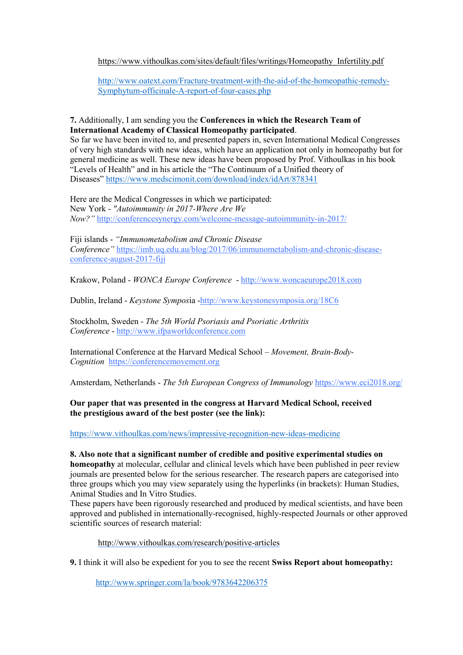#### [https://www.vithoulkas.com/sites/default/files/writings/Homeopathy\\_Infertility.pdf](https://www.vithoulkas.com/sites/default/files/writings/Homeopathy_Infertility.pdf)

[http://www.oatext.com/Fracture-treatment-with-the-aid-of-the-homeopathic-remedy-](http://www.oatext.com/Fracture-treatment-with-the-aid-of-the-homeopathic-remedy-Symphytum-officinale-A-report-of-four-cases.php)[Symphytum-officinale-A-report-of-four-cases.php](http://www.oatext.com/Fracture-treatment-with-the-aid-of-the-homeopathic-remedy-Symphytum-officinale-A-report-of-four-cases.php)

### **7.** Additionally, I am sending you the **Conferences in which the Research Team of International Academy of Classical Homeopathy participated**.

So far we have been invited to, and presented papers in, seven International Medical Congresses of very high standards with new ideas, which have an application not only in homeopathy but for general medicine as well. These new ideas have been proposed by Prof. Vithoulkas in his book "Levels of Health" and in his article the "The Continuum of a Unified theory of Diseases" <https://www.medscimonit.com/download/index/idArt/878341>

Here are the Medical Congresses in which we participated: New York - *"Autoimmunity in 2017-Where Are We Now?"* <http://conferencesynergy.com/welcome-message-autoimmunity-in-2017/>

Fiji islands - *"Immunometabolism and Chronic Disease Conference"* [https://imb.uq.edu.au/blog/2017/06/immunometabolism-and-chronic-disease](https://imb.uq.edu.au/blog/2017/06/immunometabolism-and-chronic-disease-conference-august-2017-fiji)[conference-august-2017-fiji](https://imb.uq.edu.au/blog/2017/06/immunometabolism-and-chronic-disease-conference-august-2017-fiji)

Krakow, Poland - *WONCA Europe Conference* - [http://www.woncaeurope2018.com](http://www.woncaeurope2018.com/)

Dublin, Ireland - *Keystone Sympos*ia [-http://www.keystonesymposia.org/18C6](http://www.keystonesymposia.org/18C6)

Stockholm, Sweden - *The 5th World Psoriasis and Psoriatic Arthritis Conference* - [http://www.ifpaworldconference.com](http://www.ifpaworldconference.com/)

International Conference at the Harvard Medical School – *Movement, Brain-Body-Cognition* [https://conferencemovement.org](https://conferencemovement.org/)

Amsterdam, Netherlands - *The 5th European Congress of Immunology* <https://www.eci2018.org/>

# **Our paper that was presented in the congress at Harvard Medical School, received the prestigious award of the best poster (see the link):**

<https://www.vithoulkas.com/news/impressive-recognition-new-ideas-medicine>

# **8. Also note that a significant number of credible and positive experimental studies on**

**homeopathy** at molecular, cellular and clinical levels which have been published in peer review journals are presented below for the serious researcher. The research papers are categorised into three groups which you may view separately using the hyperlinks (in brackets): Human Studies, Animal Studies and In Vitro Studies.

These papers have been rigorously researched and produced by medical scientists, and have been approved and published in internationally-recognised, highly-respected Journals or other approved scientific sources of research material:

<http://www.vithoulkas.com/research/positive-articles>

**9.** I think it will also be expedient for you to see the recent **Swiss Report about homeopathy:**

<http://www.springer.com/la/book/9783642206375>